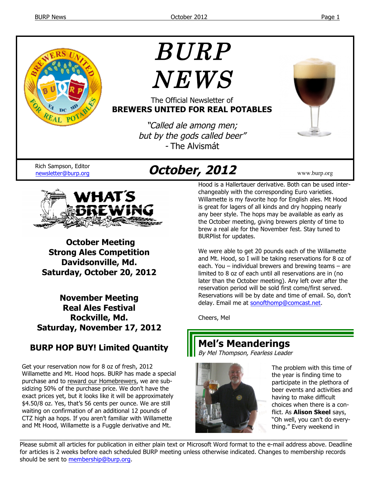

# BURP  $NEWS$

The Official Newsletter of **BREWERS UNITED FOR REAL POTABLES**

> "Called ale among men; but by the gods called beer" - The Alvismát



## newsletter@burp.org **October, 2012** www.burp.org



**October Meeting Strong Ales Competition Davidsonville, Md. Saturday, October 20, 2012**

**November Meeting Real Ales Festival Rockville, Md. Saturday, November 17, 2012**

#### **BURP HOP BUY! Limited Quantity**

Get your reservation now for 8 oz of fresh, 2012 Willamette and Mt. Hood hops. BURP has made a special purchase and to reward our Homebrewers, we are subsidizing 50% of the purchase price. We don't have the exact prices yet, but it looks like it will be approximately \$4.50/8 oz. Yes, that's 56 cents per ounce. We are still waiting on confirmation of an additional 12 pounds of CTZ high aa hops. If you aren't familiar with Willamette and Mt Hood, Willamette is a Fuggle derivative and Mt.

Hood is a Hallertauer derivative. Both can be used interchangeably with the corresponding Euro varieties. Willamette is my favorite hop for English ales. Mt Hood is great for lagers of all kinds and dry hopping nearly any beer style. The hops may be available as early as the October meeting, giving brewers plenty of time to brew a real ale for the November fest. Stay tuned to BURPlist for updates.

We were able to get 20 pounds each of the Willamette and Mt. Hood, so I will be taking reservations for 8 oz of each. You – individual brewers and brewing teams – are limited to 8 oz of each until all reservations are in (no later than the October meeting). Any left over after the reservation period will be sold first come/first served. Reservations will be by date and time of email. So, don't delay. Email me at sonofthomp@comcast.net.

Cheers, Mel

### **Mel's Meanderings**

By Mel Thompson, Fearless Leader



The problem with this time of the year is finding time to participate in the plethora of beer events and activities and having to make difficult choices when there is a conflict. As **Alison Skeel** says, "Oh well, you can't do everything." Every weekend in

Please submit all articles for publication in either plain text or Microsoft Word format to the e-mail address above. Deadline for articles is 2 weeks before each scheduled BURP meeting unless otherwise indicated. Changes to membership records should be sent to membership@burp.org.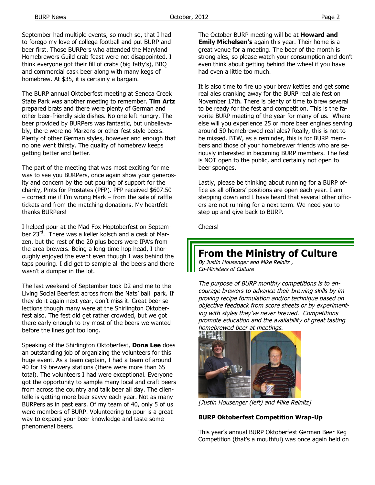September had multiple events, so much so, that I had to forego my love of college football and put BURP and beer first. Those BURPers who attended the Maryland Homebrewers Guild crab feast were not disappointed. I think everyone got their fill of crabs (big fatty's), BBQ and commercial cask beer along with many kegs of homebrew. At \$35, it is certainly a bargain.

The BURP annual Oktoberfest meeting at Seneca Creek State Park was another meeting to remember. **Tim Artz** prepared brats and there were plenty of German and other beer-friendly side dishes. No one left hungry. The beer provided by BURPers was fantastic, but unbelievably, there were no Marzens or other fest style beers. Plenty of other German styles, however and enough that no one went thirsty. The quality of homebrew keeps getting better and better.

The part of the meeting that was most exciting for me was to see you BURPers, once again show your generosity and concern by the out pouring of support for the charity, Pints for Prostates (PFP). PFP received \$607.50 – correct me if I'm wrong Mark – from the sale of raffle tickets and from the matching donations. My heartfelt thanks BURPers!

I helped pour at the Mad Fox Hoptoberfest on September 23rd. There was a keller kolsch and a cask of Marzen, but the rest of the 20 plus beers were IPA's from the area brewers. Being a long-time hop head, I thoroughly enjoyed the event even though I was behind the taps pouring. I did get to sample all the beers and there wasn't a dumper in the lot.

The last weekend of September took D2 and me to the Living Social Beerfest across from the Nats' ball park. If they do it again next year, don't miss it. Great beer selections though many were at the Shirlington Oktoberfest also. The fest did get rather crowded, but we got there early enough to try most of the beers we wanted before the lines got too long.

Speaking of the Shirlington Oktoberfest, **Dona Lee** does an outstanding job of organizing the volunteers for this huge event. As a team captain, I had a team of around 40 for 19 brewery stations (there were more than 65 total). The volunteers I had were exceptional. Everyone got the opportunity to sample many local and craft beers from across the country and talk beer all day. The clientelle is getting more beer savvy each year. Not as many BURPers as in past ears. Of my team of 40, only 5 of us were members of BURP. Volunteering to pour is a great way to expand your beer knowledge and taste some phenomenal beers.

The October BURP meeting will be at **Howard and Emily Michelsen's** again this year. Their home is a great venue for a meeting. The beer of the month is strong ales, so please watch your consumption and don't even think about getting behind the wheel if you have had even a little too much.

It is also time to fire up your brew kettles and get some real ales cranking away for the BURP real ale fest on November 17th. There is plenty of time to brew several to be ready for the fest and competition. This is the favorite BURP meeting of the year for many of us. Where else will you experience 25 or more beer engines serving around 50 homebrewed real ales? Really, this is not to be missed. BTW, as a reminder, this is for BURP members and those of your homebrewer friends who are seriously interested in becoming BURP members. The fest is NOT open to the public, and certainly not open to beer sponges.

Lastly, please be thinking about running for a BURP office as all officers' positions are open each year. I am stepping down and I have heard that several other officers are not running for a next term. We need you to step up and give back to BURP.

Cheers!

#### **From the Ministry of Culture**

By Justin Housenger and Mike Reinitz , Co-Ministers of Culture

The purpose of BURP monthly competitions is to encourage brewers to advance their brewing skills by improving recipe formulation and/or technique based on objective feedback from score sheets or by experimenting with styles they've never brewed. Competitions promote education and the availability of great tasting homebrewed beer at meetings.



[Justin Housenger (left) and Mike Reinitz]

#### **BURP Oktoberfest Competition Wrap-Up**

This year's annual BURP Oktoberfest German Beer Keg Competition (that's a mouthful) was once again held on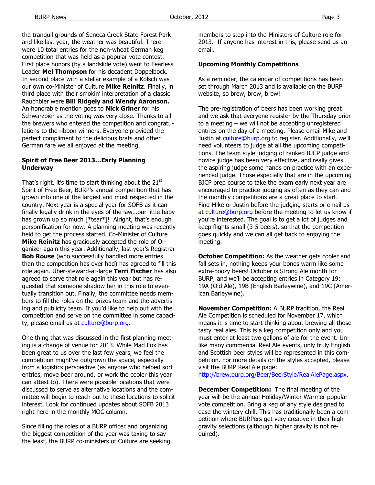the tranquil grounds of Seneca Creek State Forest Park and like last year, the weather was beautiful. There were 10 total entries for the non-wheat German keg competition that was held as a popular vote contest. First place honors (by a landslide vote) went to Fearless Leader **Mel Thompson** for his decadent Doppelbock. In second place with a stellar example of a Kölsch was our own co-Minister of Culture **Mike Reinitz**. Finally, in third place with their smokin' interpretation of a classic Rauchbier were **Bill Ridgely and Wendy Aaronson.** An honorable mention goes to **Nick Griner** for his Schwarzbier as the voting was very close. Thanks to all the brewers who entered the competition and congratulations to the ribbon winners. Everyone provided the perfect compliment to the delicious brats and other German fare we all enjoyed at the meeting.

#### **Spirit of Free Beer 2013…Early Planning Underway**

That's right, it's time to start thinking about the  $21^{st}$ Spirit of Free Beer, BURP's annual competition that has grown into one of the largest and most respected in the country. Next year is a special year for SOFB as it can finally legally drink in the eyes of the law…our little baby has grown up so much [\*tear\*]! Alright, that's enough personification for now. A planning meeting was recently held to get the process started. Co-Minister of Culture **Mike Reinitz** has graciously accepted the role of Organizer again this year. Additionally, last year's Registrar **Bob Rouse** (who successfully handled more entries than the competition has ever had) has agreed to fill this role again. Über-steward-at-large **Terri Fischer** has also agreed to serve that role again this year but has requested that someone shadow her in this role to eventually transition out. Finally, the committee needs members to fill the roles on the prizes team and the advertising and publicity team. If you'd like to help out with the competition and serve on the committee in some capacity, please email us at culture@burp.org.

One thing that was discussed in the first planning meeting is a change of venue for 2013. While Mad Fox has been great to us over the last few years, we feel the competition might've outgrown the space, especially from a logistics perspective (as anyone who helped sort entries, move beer around, or work the cooler this year can attest to). There were possible locations that were discussed to serve as alternative locations and the committee will begin to reach out to these locations to solicit interest. Look for continued updates about SOFB 2013 right here in the monthly MOC column.

Since filling the roles of a BURP officer and organizing the biggest competition of the year was taxing to say the least, the BURP co-ministers of Culture are seeking members to step into the Ministers of Culture role for 2013. If anyone has interest in this, please send us an email.

#### **Upcoming Monthly Competitions**

As a reminder, the calendar of competitions has been set through March 2013 and is available on the BURP website, so brew, brew, brew!

The pre-registration of beers has been working great and we ask that everyone register by the Thursday prior to a meeting – we will not be accepting unregistered entries on the day of a meeting. Please email Mike and Justin at culture@burp.org to register. Additionally, we'll need volunteers to judge at all the upcoming competitions. The team style judging of ranked BJCP judge and novice judge has been very effective, and really gives the aspiring judge some hands on practice with an experienced judge. Those especially that are in the upcoming BJCP prep course to take the exam early next year are encouraged to practice judging as often as they can and the monthly competitions are a great place to start. Find Mike or Justin before the judging starts or email us at culture@burp.org before the meeting to let us know if you're interested. The goal is to get a lot of judges and keep flights small (3-5 beers), so that the competition goes quickly and we can all get back to enjoying the meeting.

**October Competition:** As the weather gets cooler and fall sets in, nothing keeps your bones warm like some extra-boozy beers! October is Strong Ale month for BURP, and we'll be accepting entries in Category 19: 19A (Old Ale), 19B (English Barleywine), and 19C (American Barleywine).

**November Competition:** A BURP tradition, the Real Ale Competition is scheduled for November 17, which means it is time to start thinking about brewing all those tasty real ales. This is a keg competition only and you must enter at least two gallons of ale for the event. Unlike many commercial Real Ale events, only truly English and Scottish beer styles will be represented in this competition. For more details on the styles accepted, please visit the BURP Real Ale page:

http://brew.burp.org/Beer/BeerStyle/RealAlePage.aspx.

**December Competition:** The final meeting of the year will be the annual Holiday/Winter Warmer popular vote competition. Bring a keg of any style designed to ease the wintery chill. This has traditionally been a competition where BURPers get very creative in their high gravity selections (although higher gravity is not required).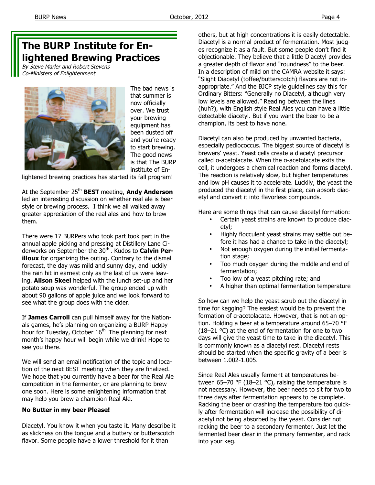### **The BURP Institute for Enlightened Brewing Practices**

By Steve Marler and Robert Stevens Co-Ministers of Enlightenment



The bad news is that summer is now officially over. We trust your brewing equipment has been dusted off and you're ready to start brewing. The good news is that The BURP institute of En-

lightened brewing practices has started its fall program!

At the September 25th **BEST** meeting, **Andy Anderson** led an interesting discussion on whether real ale is beer style or brewing process. I think we all walked away greater appreciation of the real ales and how to brew them.

There were 17 BURPers who took part took part in the annual apple picking and pressing at Distillery Lane Ciderworks on September the 30<sup>th.</sup>. Kudos to **Calvin Perilloux** for organizing the outing. Contrary to the dismal forecast, the day was mild and sunny day, and luckily the rain hit in earnest only as the last of us were leaving. **Alison Skeel** helped with the lunch set-up and her potato soup was wonderful. The group ended up with about 90 gallons of apple juice and we look forward to see what the group does with the cider.

If **James Carroll** can pull himself away for the Nationals games, he's planning on organizing a BURP Happy hour for Tuesday, October  $16<sup>th</sup>$  The planning for next month's happy hour will begin while we drink! Hope to see you there.

We will send an email notification of the topic and location of the next BEST meeting when they are finalized. We hope that you currently have a beer for the Real Ale competition in the fermenter, or are planning to brew one soon. Here is some enlightening information that may help you brew a champion Real Ale.

#### **No Butter in my beer Please!**

Diacetyl. You know it when you taste it. Many describe it as slickness on the tongue and a buttery or butterscotch flavor. Some people have a lower threshold for it than

others, but at high concentrations it is easily detectable. Diacetyl is a normal product of fermentation. Most judges recognize it as a fault. But some people don't find it objectionable. They believe that a little Diacetyl provides a greater depth of flavor and "roundness" to the beer. In a description of mild on the CAMRA website it says: "Slight Diacetyl (toffee/butterscotch) flavors are not inappropriate." And the BJCP style guidelines say this for Ordinary Bitters: "Generally no Diacetyl, although very low levels are allowed." Reading between the lines (huh?), with English style Real Ales you can have a little detectable diacetyl. But if you want the beer to be a champion, its best to have none.

Diacetyl can also be produced by unwanted bacteria, especially pediococcus. The biggest source of diacetyl is brewers' yeast. Yeast cells create a diacetyl precursor called α-acetolacate. When the α-acetolacate exits the cell, it undergoes a chemical reaction and forms diacetyl. The reaction is relatively slow, but higher temperatures and low pH causes it to accelerate. Luckily, the yeast the produced the diacetyl in the first place, can absorb diacetyl and convert it into flavorless compounds.

Here are some things that can cause diacetyl formation:

- Certain yeast strains are known to produce diacetyl;
- Highly flocculent yeast strains may settle out before it has had a chance to take in the diacetyl;
- Not enough oxygen during the initial fermentation stage;
- Too much oxygen during the middle and end of fermentation;
- Too low of a yeast pitching rate; and
- A higher than optimal fermentation temperature

So how can we help the yeast scrub out the diacetyl in time for kegging? The easiest would be to prevent the formation of α-acetolacate. However, that is not an option. Holding a beer at a temperature around 65–70 °F (18–21 °C) at the end of fermentation for one to two days will give the yeast time to take in the diacetyl. This is commonly known as a diacetyl rest. Diacetyl rests should be started when the specific gravity of a beer is between 1.002-1.005.

Since Real Ales usually ferment at temperatures between 65-70 °F (18-21 °C), raising the temperature is not necessary. However, the beer needs to sit for two to three days after fermentation appears to be complete. Racking the beer or crashing the temperature too quickly after fermentation will increase the possibility of diacetyl not being absorbed by the yeast. Consider not racking the beer to a secondary fermenter. Just let the fermented beer clear in the primary fermenter, and rack into your keg.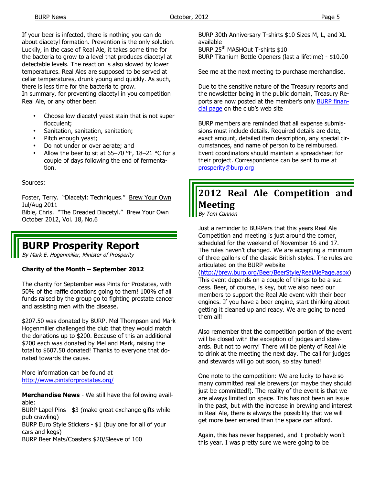If your beer is infected, there is nothing you can do about diacetyl formation. Prevention is the only solution. Luckily, in the case of Real Ale, it takes some time for the bacteria to grow to a level that produces diacetyl at detectable levels. The reaction is also slowed by lower temperatures. Real Ales are supposed to be served at cellar temperatures, drunk young and quickly. As such, there is less time for the bacteria to grow.

In summary, for preventing diacetyl in you competition Real Ale, or any other beer:

- Choose low diacetyl yeast stain that is not super flocculent;
- Sanitation, sanitation, sanitation;
- Pitch enough yeast;
- Do not under or over aerate; and
- Allow the beer to sit at 65-70 °F,  $18-21$  °C for a couple of days following the end of fermentation.

Sources:

Foster, Terry. "Diacetyl: Techniques." Brew Your Own Jul/Aug 2011

Bible, Chris. "The Dreaded Diacetyl." Brew Your Own October 2012, Vol. 18, No.6

### **BURP Prosperity Report**

By Mark E. Hogenmiller, Minister of Prosperity

#### **Charity of the Month – September 2012**

The charity for September was Pints for Prostates, with 50% of the raffle donations going to them! 100% of all funds raised by the group go to fighting prostate cancer and assisting men with the disease.

\$207.50 was donated by BURP. Mel Thompson and Mark Hogenmiller challenged the club that they would match the donations up to \$200. Because of this an additional \$200 each was donated by Mel and Mark, raising the total to \$607.50 donated! Thanks to everyone that donated towards the cause.

More information can be found at http://www.pintsforprostates.org/

**Merchandise News** - We still have the following available:

BURP Lapel Pins - \$3 (make great exchange gifts while pub crawling)

BURP Euro Style Stickers - \$1 (buy one for all of your cars and kegs)

BURP Beer Mats/Coasters \$20/Sleeve of 100

BURP 30th Anniversary T-shirts \$10 Sizes M, L, and XL available

BURP 25<sup>th</sup> MASHOut T-shirts \$10 BURP Titanium Bottle Openers (last a lifetime) - \$10.00

See me at the next meeting to purchase merchandise.

Due to the sensitive nature of the Treasury reports and the newsletter being in the public domain, Treasury Reports are now posted at the member's only BURP financial page on the club's web site

BURP members are reminded that all expense submissions must include details. Required details are date, exact amount, detailed item description, any special circumstances, and name of person to be reimbursed. Event coordinators should maintain a spreadsheet for their project. Correspondence can be sent to me at prosperity@burp.org

### **2012 Real Ale Competition and Meeting**

By Tom Cannon

Just a reminder to BURPers that this years Real Ale Competition and meeting is just around the corner, scheduled for the weekend of November 16 and 17. The rules haven't changed. We are accepting a minimum of three gallons of the classic British styles. The rules are articulated on the BURP website

(http://brew.burp.org/Beer/BeerStyle/RealAlePage.aspx) This event depends on a couple of things to be a success. Beer, of course, is key, but we also need our members to support the Real Ale event with their beer engines. If you have a beer engine, start thinking about getting it cleaned up and ready. We are going to need them all!

Also remember that the competition portion of the event will be closed with the exception of judges and stewards. But not to worry! There will be plenty of Real Ale to drink at the meeting the next day. The call for judges and stewards will go out soon, so stay tuned!

One note to the competition: We are lucky to have so many committed real ale brewers (or maybe they should just be committed!). The reality of the event is that we are always limited on space. This has not been an issue in the past, but with the increase in brewing and interest in Real Ale, there is always the possibility that we will get more beer entered than the space can afford.

Again, this has never happened, and it probably won't this year. I was pretty sure we were going to be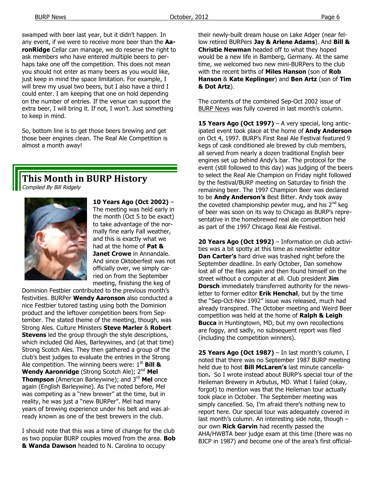swamped with beer last year, but it didn't happen. In any event, if we were to receive more beer than the **AaronRidge** Cellar can manage, we do reserve the right to ask members who have entered multiple beers to perhaps take one off the competition. This does not mean you should not enter as many beers as you would like, just keep in mind the space limitation. For example, I will brew my usual two beers, but I also have a third I could enter. I am keeping that one on hold depending on the number of entries. If the venue can support the extra beer, I will bring it. If not, I won't. Just something to keep in mind.

So, bottom line is to get those beers brewing and get those beer engines clean. The Real Ale Competition is almost a month away!

### **This Month in BURP History**

Compiled By Bill Ridgely



**10 Years Ago (Oct 2002)** – The meeting was held early in the month (Oct 5 to be exact) to take advantage of the normally fine early Fall weather, and this is exactly what we had at the home of **Pat & Janet Crowe** in Annandale. And since Oktoberfest was not officially over, we simply carried on from the September meeting, finishing the keg of

Dominion Festbier contributed to the previous month's festivities. BURPer **Wendy Aaronson** also conducted a nice Festbier tutored tasting using both the Dominion product and the leftover competition beers from September. The stated theme of the meeting, though, was Strong Ales. Culture Ministers **Steve Marler** & **Robert Stevens** led the group through the style descriptions, which included Old Ales, Barleywines, and (at that time) Strong Scotch Ales. They then gathered a group of the club's best judges to evaluate the entries in the Strong Ale competition. The winning beers were: 1<sup>st</sup> Bill & **Wendy Aaronridge** (Strong Scotch Ale); 2nd **Mel Thompson** (American Barleywine); and 3<sup>rd</sup> Mel once again (English Barleywine). As I've noted before, Mel was competing as a "new brewer" at the time, but in reality, he was just a "new BURPer". Mel had many years of brewing experience under his belt and was already known as one of the best brewers in the club.

I should note that this was a time of change for the club as two popular BURP couples moved from the area. **Bob & Wanda Dawson** headed to N. Carolina to occupy

their newly-built dream house on Lake Adger (near fellow retired BURPers **Jay & Arlene Adams**). And **Bill & Christie Newman** headed off to what they hoped would be a new life in Bamberg, Germany. At the same time, we welcomed two new mini-BURPers to the club with the recent births of **Miles Hanson** (son of **Rob Hanson** & **Kate Keplinger**) and **Ben Artz** (son of **Tim & Dot Artz**).

The contents of the combined Sep-Oct 2002 issue of BURP News was fully covered in last month's column.

15 Years Ago (Oct 1997) – A very special, long anticipated event took place at the home of **Andy Anderson**  on Oct 4, 1997. BURP's First Real Ale Festival featured 9 kegs of cask conditioned ale brewed by club members, all served from nearly a dozen traditional English beer engines set up behind Andy's bar. The protocol for the event (still followed to this day) was judging of the beers to select the Real Ale Champion on Friday night followed by the festival/BURP meeting on Saturday to finish the remaining beer. The 1997 Champion Beer was declared to be **Andy Anderson's** Best Bitter. Andy took away the coveted championship pewter mug, and his  $2^{nd}$  keg of beer was soon on its way to Chicago as BURP's representative in the homebrewed real ale competition held as part of the 1997 Chicago Real Ale Festival.

20 Years Ago (Oct 1992) - Information on club activities was a bit spotty at this time as newsletter editor **Dan Carter's** hard drive was trashed right before the September deadline. In early October, Dan somehow lost all of the files again and then found himself on the street without a computer at all. Club president **Jim Dorsch** immediately transferred authority for the newsletter to former editor **Erik Henchal**, but by the time the "Sep-Oct-Nov 1992" issue was released, much had already transpired. The October meeting and Weird Beer competition was held at the home of **Ralph & Leigh Bucca** in Huntingtown, MD, but my own recollections are foggy, and sadly, no subsequent report was filed (including the competition winners).

**25 Years Ago (Oct 1987)** – In last month's column, I noted that there was no September 1987 BURP meeting held due to host **Bill McLaren's** last minute cancellation**.** So I wrote instead about BURP's special tour of the Heileman Brewery in Arbutus, MD. What I failed (okay, forgot) to mention was that the Heileman tour actually took place in October. The September meeting was simply cancelled. So, I'm afraid there's nothing new to report here. Our special tour was adequately covered in last month's column. An interesting side note, though – our own **Rick Garvin** had recently passed the AHA/HWBTA beer judge exam at this time (there was no BJCP in 1987) and become one of the area's first official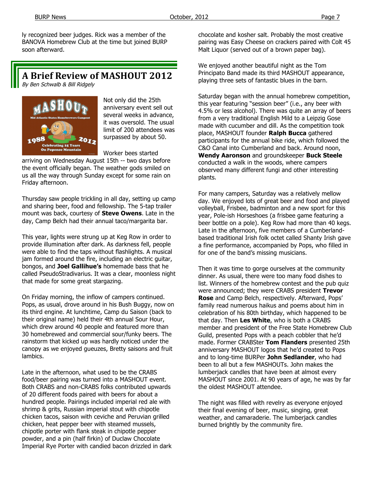ly recognized beer judges. Rick was a member of the BANOVA Homebrew Club at the time but joined BURP soon afterward.

#### **A Brief Review of MASHOUT 2012**

By Ben Schwalb & Bill Ridgely



Not only did the 25th anniversary event sell out several weeks in advance, it was oversold. The usual limit of 200 attendees was surpassed by about 50.

Worker bees started

arriving on Wednesday August 15th -- two days before the event officially began. The weather gods smiled on us all the way through Sunday except for some rain on Friday afternoon.

Thursday saw people trickling in all day, setting up camp and sharing beer, food and fellowship. The 5-tap trailer mount was back, courtesy of **Steve Owens**. Late in the day, Camp Belch had their annual taco/margarita bar.

This year, lights were strung up at Keg Row in order to provide illumination after dark. As darkness fell, people were able to find the taps without flashlights. A musical jam formed around the fire, including an electric guitar, bongos, and **Joel Gallihue's** homemade bass that he called PseudoStradivarius. It was a clear, moonless night that made for some great stargazing.

On Friday morning, the inflow of campers continued. Pops, as usual, drove around in his Bush Buggy, now on its third engine. At lunchtime, Camp du Saison (back to their original name) held their 4th annual Sour Hour, which drew around 40 people and featured more than 30 homebrewed and commercial sour/funky beers. The rainstorm that kicked up was hardly noticed under the canopy as we enjoyed gueuzes, Bretty saisons and fruit lambics.

Late in the afternoon, what used to be the CRABS food/beer pairing was turned into a MASHOUT event. Both CRABS and non-CRABS folks contributed upwards of 20 different foods paired with beers for about a hundred people. Pairings included imperial red ale with shrimp & grits, Russian imperial stout with chipotle chicken tacos, saison with ceviche and Peruvian grilled chicken, heat pepper beer with steamed mussels, chipotle porter with flank steak in chipotle pepper powder, and a pin (half firkin) of Duclaw Chocolate Imperial Rye Porter with candied bacon drizzled in dark chocolate and kosher salt. Probably the most creative pairing was Easy Cheese on crackers paired with Colt 45 Malt Liquor (served out of a brown paper bag).

We enjoyed another beautiful night as the Tom Principato Band made its third MASHOUT appearance, playing three sets of fantastic blues in the barn.

Saturday began with the annual homebrew competition, this year featuring "session beer" (i.e., any beer with 4.5% or less alcohol). There was quite an array of beers from a very traditional English Mild to a Leipzig Gose made with cucumber and dill. As the competition took place, MASHOUT founder **Ralph Bucca** gathered participants for the annual bike ride, which followed the C&O Canal into Cumberland and back. Around noon, **Wendy Aaronson** and groundskeeper **Buck Steele**  conducted a walk in the woods, where campers observed many different fungi and other interesting plants.

For many campers, Saturday was a relatively mellow day. We enjoyed lots of great beer and food and played volleyball, Frisbee, badminton and a new sport for this year, Pole-ish Horseshoes (a frisbee game featuring a beer bottle on a pole). Keg Row had more than 40 kegs. Late in the afternoon, five members of a Cumberlandbased traditional Irish folk octet called Shanty Irish gave a fine performance, accompanied by Pops, who filled in for one of the band's missing musicians.

Then it was time to gorge ourselves at the community dinner. As usual, there were too many food dishes to list. Winners of the homebrew contest and the pub quiz were announced; they were CRABS president **Trevor Rose** and Camp Belch, respectively. Afterward, Pops' family read numerous haikus and poems about him in celebration of his 80th birthday, which happened to be that day. Then **Les White**, who is both a CRABS member and president of the Free State Homebrew Club Guild, presented Pops with a peach cobbler that he'd made. Former CRABSter **Tom Flanders** presented 25th anniversary MASHOUT logos that he'd created to Pops and to long-time BURPer **John Sedlander**, who had been to all but a few MASHOUTs. John makes the lumberjack candles that have been at almost every MASHOUT since 2001. At 90 years of age, he was by far the oldest MASHOUT attendee.

The night was filled with revelry as everyone enjoyed their final evening of beer, music, singing, great weather, and camaraderie. The lumberjack candles burned brightly by the community fire.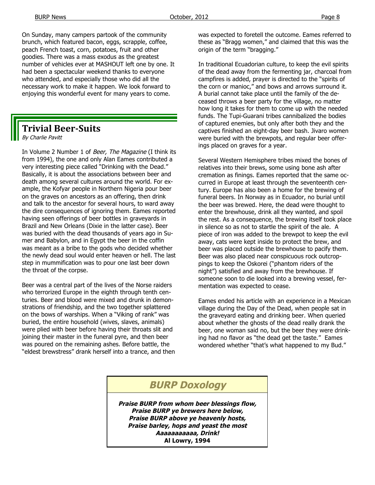On Sunday, many campers partook of the community brunch, which featured bacon, eggs, scrapple, coffee, peach French toast, corn, potatoes, fruit and other goodies. There was a mass exodus as the greatest number of vehicles ever at MASHOUT left one by one. It had been a spectacular weekend thanks to everyone who attended, and especially those who did all the necessary work to make it happen. We look forward to enjoying this wonderful event for many years to come.

#### **Trivial Beer-Suits**

By Charlie Pavitt

In Volume 2 Number 1 of Beer, The Magazine (I think its from 1994), the one and only Alan Eames contributed a very interesting piece called "Drinking with the Dead." Basically, it is about the associations between beer and death among several cultures around the world. For example, the Kofyar people in Northern Nigeria pour beer on the graves on ancestors as an offering, then drink and talk to the ancestor for several hours, to ward away the dire consequences of ignoring them. Eames reported having seen offerings of beer bottles in graveyards in Brazil and New Orleans (Dixie in the latter case). Beer was buried with the dead thousands of years ago in Sumer and Babylon, and in Egypt the beer in the coffin was meant as a bribe to the gods who decided whether the newly dead soul would enter heaven or hell. The last step in mummification was to pour one last beer down the throat of the corpse.

Beer was a central part of the lives of the Norse raiders who terrorized Europe in the eighth through tenth centuries. Beer and blood were mixed and drunk in demonstrations of friendship, and the two together splattered on the bows of warships. When a "Viking of rank" was buried, the entire household (wives, slaves, animals) were plied with beer before having their throats slit and joining their master in the funeral pyre, and then beer was poured on the remaining ashes. Before battle, the "eldest brewstress" drank herself into a trance, and then was expected to foretell the outcome. Eames referred to these as "Bragg women," and claimed that this was the origin of the term "bragging."

In traditional Ecuadorian culture, to keep the evil spirits of the dead away from the fermenting jar, charcoal from campfires is added, prayer is directed to the "spirits of the corn or manioc," and bows and arrows surround it. A burial cannot take place until the family of the deceased throws a beer party for the village, no matter how long it takes for them to come up with the needed funds. The Tupi-Guarani tribes cannibalized the bodies of captured enemies, but only after both they and the captives finished an eight-day beer bash. Jivaro women were buried with the brewpots, and regular beer offerings placed on graves for a year.

Several Western Hemisphere tribes mixed the bones of relatives into their brews, some using bone ash after cremation as finings. Eames reported that the same occurred in Europe at least through the seventeenth century. Europe has also been a home for the brewing of funeral beers. In Norway as in Ecuador, no burial until the beer was brewed. Here, the dead were thought to enter the brewhouse, drink all they wanted, and spoil the rest. As a consequence, the brewing itself took place in silence so as not to startle the spirit of the ale. A piece of iron was added to the brewpot to keep the evil away, cats were kept inside to protect the brew, and beer was placed outside the brewhouse to pacify them. Beer was also placed near conspicuous rock outcroppings to keep the Oskorei ("phantom riders of the night") satisfied and away from the brewhouse. If someone soon to die looked into a brewing vessel, fermentation was expected to cease.

Eames ended his article with an experience in a Mexican village during the Day of the Dead, when people sat in the graveyard eating and drinking beer. When queried about whether the ghosts of the dead really drank the beer, one woman said no, but the beer they were drinking had no flavor as "the dead get the taste." Eames wondered whether "that's what happened to my Bud."

#### **BURP Doxology**

**Praise BURP from whom beer blessings flow, Praise BURP ye brewers here below, Praise BURP above ye heavenly hosts, Praise barley, hops and yeast the most Aaaaaaaaaaa, Drink! Al Lowry, 1994**